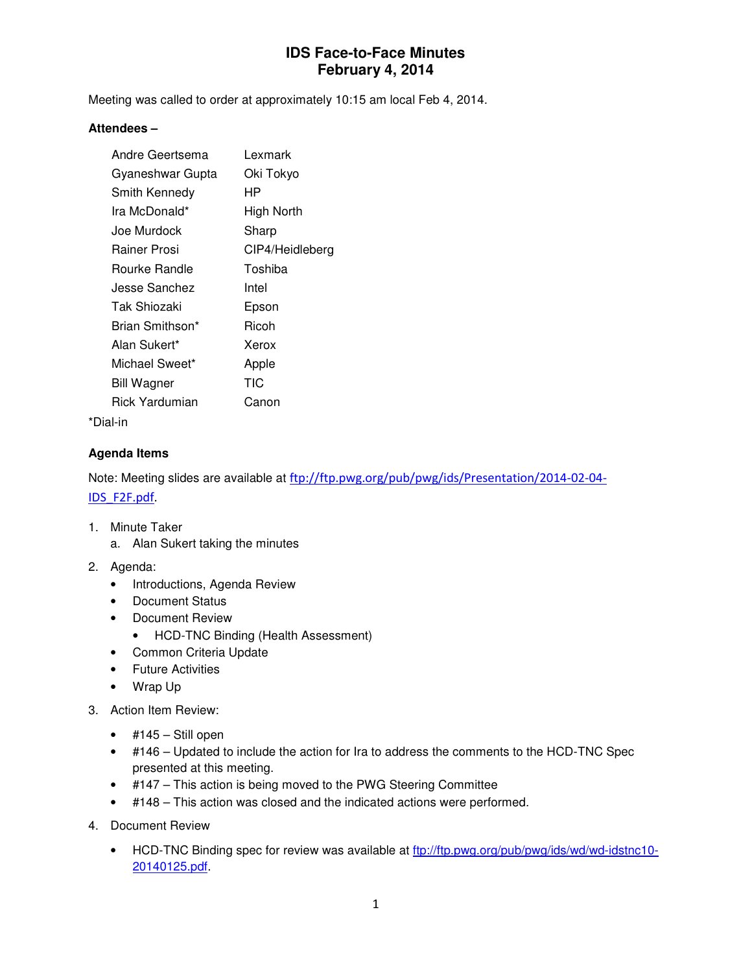# **IDS Face-to-Face Minutes February 4, 2014**

Meeting was called to order at approximately 10:15 am local Feb 4, 2014.

#### **Attendees –**

| Andre Geertsema    | Lexmark         |
|--------------------|-----------------|
| Gyaneshwar Gupta   | Oki Tokyo       |
| Smith Kennedy      | НP              |
| Ira McDonald*      | High North      |
| Joe Murdock        | Sharp           |
| Rainer Prosi       | CIP4/Heidleberg |
| Rourke Randle      | Toshiba         |
| Jesse Sanchez      | Intel           |
| Tak Shiozaki       | Epson           |
| Brian Smithson*    | Ricoh           |
| Alan Sukert*       | Xerox           |
| Michael Sweet*     | Apple           |
| <b>Bill Wagner</b> | TIC             |
| Rick Yardumian     | Canon           |
|                    |                 |

\*Dial-in

### **Agenda Items**

Note: Meeting slides are available at ftp://ftp.pwg.org/pub/pwg/ids/Presentation/2014-02-04- IDS\_F2F.pdf.

- 1. Minute Taker
	- a. Alan Sukert taking the minutes
- 2. Agenda:
	- Introductions, Agenda Review
	- Document Status
	- Document Review
		- HCD-TNC Binding (Health Assessment)
	- Common Criteria Update
	- Future Activities
	- Wrap Up
- 3. Action Item Review:
	- $\bullet$  #145 Still open
	- #146 Updated to include the action for Ira to address the comments to the HCD-TNC Spec presented at this meeting.
	- #147 This action is being moved to the PWG Steering Committee
	- #148 This action was closed and the indicated actions were performed.
- 4. Document Review
	- HCD-TNC Binding spec for review was available at ftp://ftp.pwg.org/pub/pwg/ids/wd/wd-idstnc10- 20140125.pdf.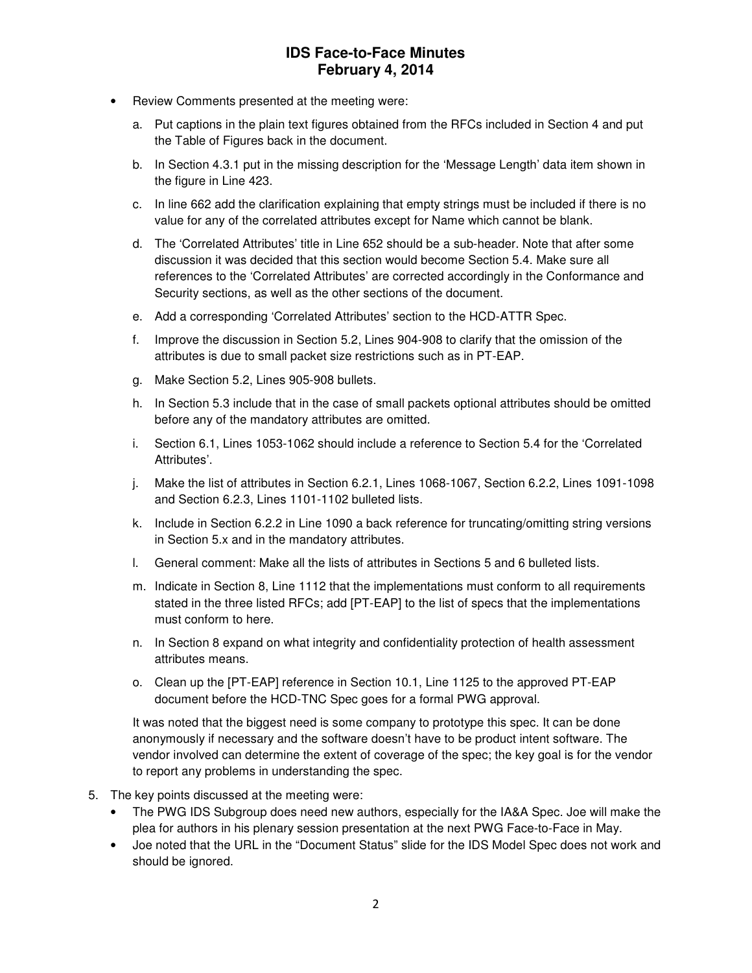## **IDS Face-to-Face Minutes February 4, 2014**

- Review Comments presented at the meeting were:
	- a. Put captions in the plain text figures obtained from the RFCs included in Section 4 and put the Table of Figures back in the document.
	- b. In Section 4.3.1 put in the missing description for the 'Message Length' data item shown in the figure in Line 423.
	- c. In line 662 add the clarification explaining that empty strings must be included if there is no value for any of the correlated attributes except for Name which cannot be blank.
	- d. The 'Correlated Attributes' title in Line 652 should be a sub-header. Note that after some discussion it was decided that this section would become Section 5.4. Make sure all references to the 'Correlated Attributes' are corrected accordingly in the Conformance and Security sections, as well as the other sections of the document.
	- e. Add a corresponding 'Correlated Attributes' section to the HCD-ATTR Spec.
	- f. Improve the discussion in Section 5.2, Lines 904-908 to clarify that the omission of the attributes is due to small packet size restrictions such as in PT-EAP.
	- g. Make Section 5.2, Lines 905-908 bullets.
	- h. In Section 5.3 include that in the case of small packets optional attributes should be omitted before any of the mandatory attributes are omitted.
	- i. Section 6.1, Lines 1053-1062 should include a reference to Section 5.4 for the 'Correlated Attributes'.
	- j. Make the list of attributes in Section 6.2.1, Lines 1068-1067, Section 6.2.2, Lines 1091-1098 and Section 6.2.3, Lines 1101-1102 bulleted lists.
	- k. Include in Section 6.2.2 in Line 1090 a back reference for truncating/omitting string versions in Section 5.x and in the mandatory attributes.
	- l. General comment: Make all the lists of attributes in Sections 5 and 6 bulleted lists.
	- m. Indicate in Section 8, Line 1112 that the implementations must conform to all requirements stated in the three listed RFCs; add [PT-EAP] to the list of specs that the implementations must conform to here.
	- n. In Section 8 expand on what integrity and confidentiality protection of health assessment attributes means.
	- o. Clean up the [PT-EAP] reference in Section 10.1, Line 1125 to the approved PT-EAP document before the HCD-TNC Spec goes for a formal PWG approval.

It was noted that the biggest need is some company to prototype this spec. It can be done anonymously if necessary and the software doesn't have to be product intent software. The vendor involved can determine the extent of coverage of the spec; the key goal is for the vendor to report any problems in understanding the spec.

- 5. The key points discussed at the meeting were:
	- The PWG IDS Subgroup does need new authors, especially for the IA&A Spec. Joe will make the plea for authors in his plenary session presentation at the next PWG Face-to-Face in May.
	- Joe noted that the URL in the "Document Status" slide for the IDS Model Spec does not work and should be ignored.